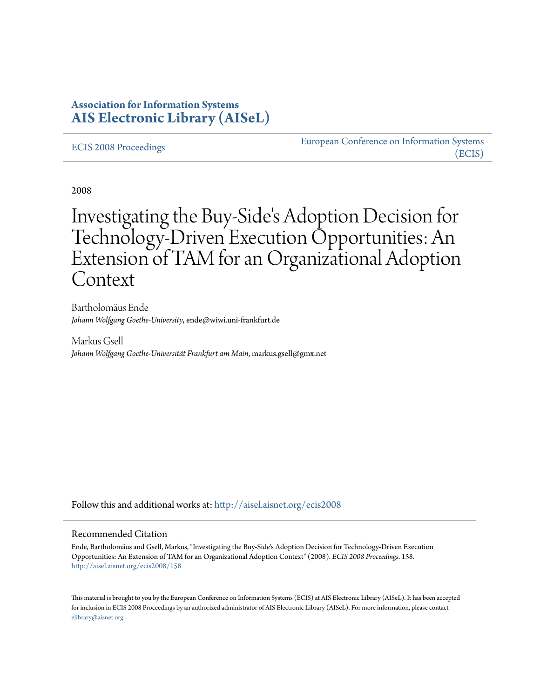# **Association for Information Systems [AIS Electronic Library \(AISeL\)](http://aisel.aisnet.org?utm_source=aisel.aisnet.org%2Fecis2008%2F158&utm_medium=PDF&utm_campaign=PDFCoverPages)**

#### [ECIS 2008 Proceedings](http://aisel.aisnet.org/ecis2008?utm_source=aisel.aisnet.org%2Fecis2008%2F158&utm_medium=PDF&utm_campaign=PDFCoverPages)

[European Conference on Information Systems](http://aisel.aisnet.org/ecis?utm_source=aisel.aisnet.org%2Fecis2008%2F158&utm_medium=PDF&utm_campaign=PDFCoverPages) [\(ECIS\)](http://aisel.aisnet.org/ecis?utm_source=aisel.aisnet.org%2Fecis2008%2F158&utm_medium=PDF&utm_campaign=PDFCoverPages)

2008

# Investigating the Buy-Side's Adoption Decision for Technology-Driven Execution Opportunities: An Extension of TAM for an Organizational Adoption Context

Bartholomäus Ende *Johann Wolfgang Goethe-University*, ende@wiwi.uni-frankfurt.de

Markus Gsell *Johann Wolfgang Goethe-Universität Frankfurt am Main*, markus.gsell@gmx.net

Follow this and additional works at: [http://aisel.aisnet.org/ecis2008](http://aisel.aisnet.org/ecis2008?utm_source=aisel.aisnet.org%2Fecis2008%2F158&utm_medium=PDF&utm_campaign=PDFCoverPages)

#### Recommended Citation

Ende, Bartholomäus and Gsell, Markus, "Investigating the Buy-Side's Adoption Decision for Technology-Driven Execution Opportunities: An Extension of TAM for an Organizational Adoption Context" (2008). *ECIS 2008 Proceedings*. 158. [http://aisel.aisnet.org/ecis2008/158](http://aisel.aisnet.org/ecis2008/158?utm_source=aisel.aisnet.org%2Fecis2008%2F158&utm_medium=PDF&utm_campaign=PDFCoverPages)

This material is brought to you by the European Conference on Information Systems (ECIS) at AIS Electronic Library (AISeL). It has been accepted for inclusion in ECIS 2008 Proceedings by an authorized administrator of AIS Electronic Library (AISeL). For more information, please contact [elibrary@aisnet.org.](mailto:elibrary@aisnet.org%3E)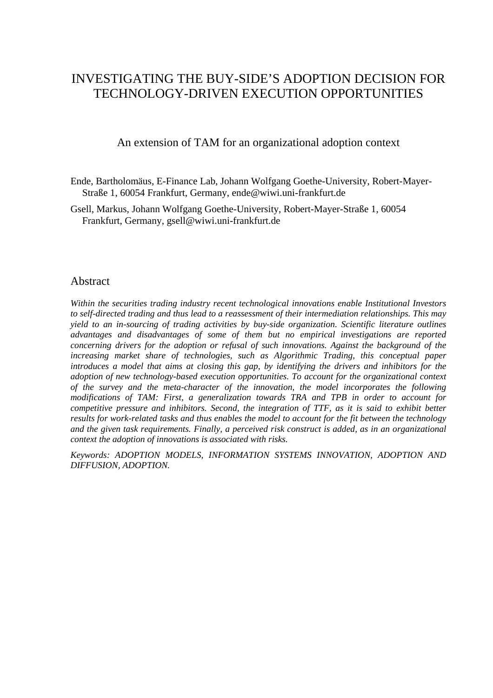# INVESTIGATING THE BUY-SIDE'S ADOPTION DECISION FOR TECHNOLOGY-DRIVEN EXECUTION OPPORTUNITIES

An extension of TAM for an organizational adoption context

- Ende, Bartholomäus, E-Finance Lab, Johann Wolfgang Goethe-University, Robert-Mayer-Straße 1, 60054 Frankfurt, Germany, ende@wiwi.uni-frankfurt.de
- Gsell, Markus, Johann Wolfgang Goethe-University, Robert-Mayer-Straße 1, 60054 Frankfurt, Germany, gsell@wiwi.uni-frankfurt.de

#### **Abstract**

*Within the securities trading industry recent technological innovations enable Institutional Investors to self-directed trading and thus lead to a reassessment of their intermediation relationships. This may yield to an in-sourcing of trading activities by buy-side organization. Scientific literature outlines advantages and disadvantages of some of them but no empirical investigations are reported concerning drivers for the adoption or refusal of such innovations. Against the background of the increasing market share of technologies, such as Algorithmic Trading, this conceptual paper introduces a model that aims at closing this gap, by identifying the drivers and inhibitors for the adoption of new technology-based execution opportunities. To account for the organizational context of the survey and the meta-character of the innovation, the model incorporates the following modifications of TAM: First, a generalization towards TRA and TPB in order to account for competitive pressure and inhibitors. Second, the integration of TTF, as it is said to exhibit better results for work-related tasks and thus enables the model to account for the fit between the technology and the given task requirements. Finally, a perceived risk construct is added, as in an organizational context the adoption of innovations is associated with risks.* 

*Keywords: ADOPTION MODELS, INFORMATION SYSTEMS INNOVATION, ADOPTION AND DIFFUSION, ADOPTION.*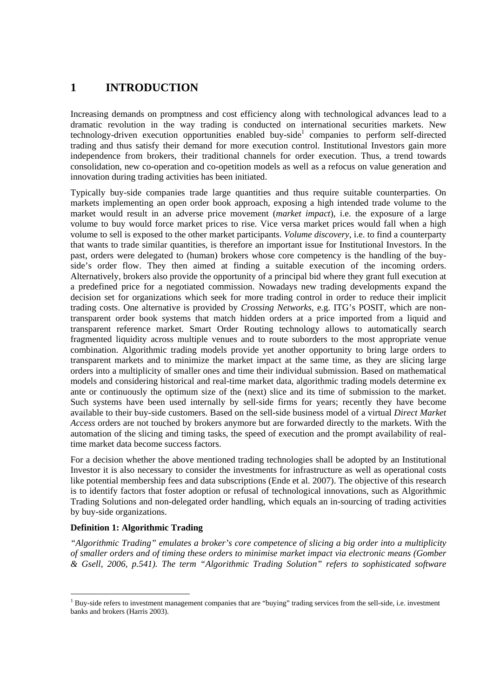# **1 INTRODUCTION**

Increasing demands on promptness and cost efficiency along with technological advances lead to a dramatic revolution in the way trading is conducted on international securities markets. New technology-driven execution opportunities enabled buy-side<sup>1</sup> companies to perform self-directed trading and thus satisfy their demand for more execution control. Institutional Investors gain more independence from brokers, their traditional channels for order execution. Thus, a trend towards consolidation, new co-operation and co-opetition models as well as a refocus on value generation and innovation during trading activities has been initiated.

Typically buy-side companies trade large quantities and thus require suitable counterparties. On markets implementing an open order book approach, exposing a high intended trade volume to the market would result in an adverse price movement (*market impact*), i.e. the exposure of a large volume to buy would force market prices to rise. Vice versa market prices would fall when a high volume to sell is exposed to the other market participants. *Volume discovery*, i.e. to find a counterparty that wants to trade similar quantities, is therefore an important issue for Institutional Investors. In the past, orders were delegated to (human) brokers whose core competency is the handling of the buyside's order flow. They then aimed at finding a suitable execution of the incoming orders. Alternatively, brokers also provide the opportunity of a principal bid where they grant full execution at a predefined price for a negotiated commission. Nowadays new trading developments expand the decision set for organizations which seek for more trading control in order to reduce their implicit trading costs. One alternative is provided by *Crossing Networks*, e.g. ITG's POSIT, which are nontransparent order book systems that match hidden orders at a price imported from a liquid and transparent reference market. Smart Order Routing technology allows to automatically search fragmented liquidity across multiple venues and to route suborders to the most appropriate venue combination. Algorithmic trading models provide yet another opportunity to bring large orders to transparent markets and to minimize the market impact at the same time, as they are slicing large orders into a multiplicity of smaller ones and time their individual submission. Based on mathematical models and considering historical and real-time market data, algorithmic trading models determine ex ante or continuously the optimum size of the (next) slice and its time of submission to the market. Such systems have been used internally by sell-side firms for years; recently they have become available to their buy-side customers. Based on the sell-side business model of a virtual *Direct Market Access* orders are not touched by brokers anymore but are forwarded directly to the markets. With the automation of the slicing and timing tasks, the speed of execution and the prompt availability of realtime market data become success factors.

For a decision whether the above mentioned trading technologies shall be adopted by an Institutional Investor it is also necessary to consider the investments for infrastructure as well as operational costs like potential membership fees and data subscriptions (Ende et al. 2007). The objective of this research is to identify factors that foster adoption or refusal of technological innovations, such as Algorithmic Trading Solutions and non-delegated order handling, which equals an in-sourcing of trading activities by buy-side organizations.

#### **Definition 1: Algorithmic Trading**

*"Algorithmic Trading" emulates a broker's core competence of slicing a big order into a multiplicity of smaller orders and of timing these orders to minimise market impact via electronic means (Gomber & Gsell, 2006, p.541). The term "Algorithmic Trading Solution" refers to sophisticated software* 

<sup>&</sup>lt;sup>1</sup> Buy-side refers to investment management companies that are "buying" trading services from the sell-side, i.e. investment banks and brokers (Harris 2003).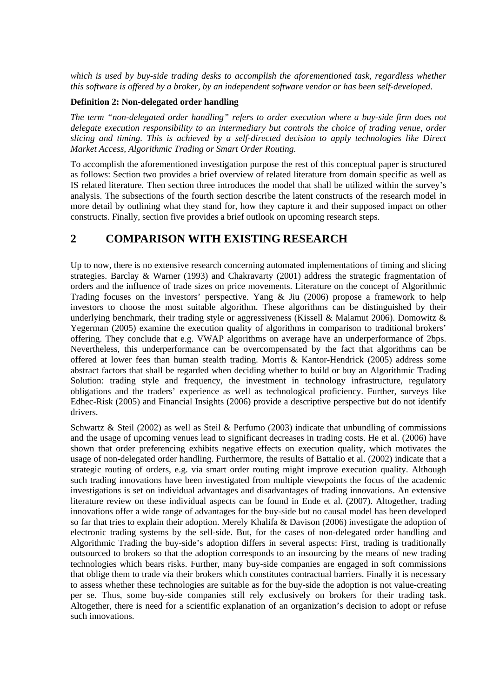*which is used by buy-side trading desks to accomplish the aforementioned task, regardless whether this software is offered by a broker, by an independent software vendor or has been self-developed.* 

#### **Definition 2: Non-delegated order handling**

*The term "non-delegated order handling" refers to order execution where a buy-side firm does not delegate execution responsibility to an intermediary but controls the choice of trading venue, order slicing and timing. This is achieved by a self-directed decision to apply technologies like Direct Market Access, Algorithmic Trading or Smart Order Routing.* 

To accomplish the aforementioned investigation purpose the rest of this conceptual paper is structured as follows: Section two provides a brief overview of related literature from domain specific as well as IS related literature. Then section three introduces the model that shall be utilized within the survey's analysis. The subsections of the fourth section describe the latent constructs of the research model in more detail by outlining what they stand for, how they capture it and their supposed impact on other constructs. Finally, section five provides a brief outlook on upcoming research steps.

### **2 COMPARISON WITH EXISTING RESEARCH**

Up to now, there is no extensive research concerning automated implementations of timing and slicing strategies. Barclay & Warner (1993) and Chakravarty (2001) address the strategic fragmentation of orders and the influence of trade sizes on price movements. Literature on the concept of Algorithmic Trading focuses on the investors' perspective. Yang & Jiu (2006) propose a framework to help investors to choose the most suitable algorithm. These algorithms can be distinguished by their underlying benchmark, their trading style or aggressiveness (Kissell & Malamut 2006). Domowitz & Yegerman (2005) examine the execution quality of algorithms in comparison to traditional brokers' offering. They conclude that e.g. VWAP algorithms on average have an underperformance of 2bps. Nevertheless, this underperformance can be overcompensated by the fact that algorithms can be offered at lower fees than human stealth trading. Morris & Kantor-Hendrick (2005) address some abstract factors that shall be regarded when deciding whether to build or buy an Algorithmic Trading Solution: trading style and frequency, the investment in technology infrastructure, regulatory obligations and the traders' experience as well as technological proficiency. Further, surveys like Edhec-Risk (2005) and Financial Insights (2006) provide a descriptive perspective but do not identify drivers.

Schwartz & Steil (2002) as well as Steil & Perfumo (2003) indicate that unbundling of commissions and the usage of upcoming venues lead to significant decreases in trading costs. He et al. (2006) have shown that order preferencing exhibits negative effects on execution quality, which motivates the usage of non-delegated order handling. Furthermore, the results of Battalio et al. (2002) indicate that a strategic routing of orders, e.g. via smart order routing might improve execution quality. Although such trading innovations have been investigated from multiple viewpoints the focus of the academic investigations is set on individual advantages and disadvantages of trading innovations. An extensive literature review on these individual aspects can be found in Ende et al. (2007). Altogether, trading innovations offer a wide range of advantages for the buy-side but no causal model has been developed so far that tries to explain their adoption. Merely Khalifa & Davison (2006) investigate the adoption of electronic trading systems by the sell-side. But, for the cases of non-delegated order handling and Algorithmic Trading the buy-side's adoption differs in several aspects: First, trading is traditionally outsourced to brokers so that the adoption corresponds to an insourcing by the means of new trading technologies which bears risks. Further, many buy-side companies are engaged in soft commissions that oblige them to trade via their brokers which constitutes contractual barriers. Finally it is necessary to assess whether these technologies are suitable as for the buy-side the adoption is not value-creating per se. Thus, some buy-side companies still rely exclusively on brokers for their trading task. Altogether, there is need for a scientific explanation of an organization's decision to adopt or refuse such innovations.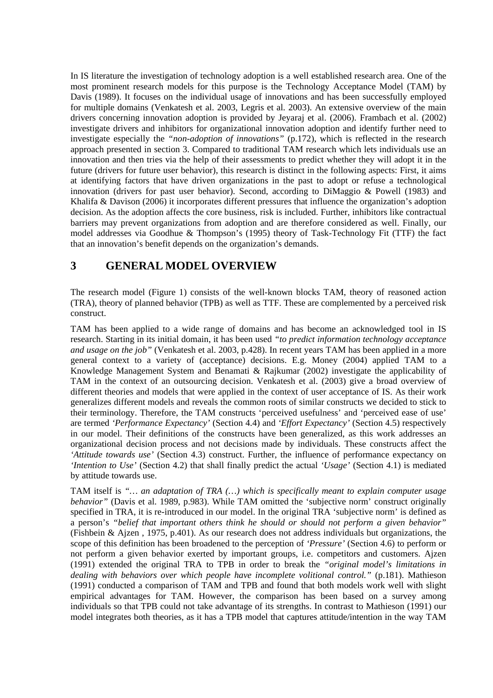In IS literature the investigation of technology adoption is a well established research area. One of the most prominent research models for this purpose is the Technology Acceptance Model (TAM) by Davis (1989). It focuses on the individual usage of innovations and has been successfully employed for multiple domains (Venkatesh et al. 2003, Legris et al. 2003). An extensive overview of the main drivers concerning innovation adoption is provided by Jeyaraj et al. (2006). Frambach et al. (2002) investigate drivers and inhibitors for organizational innovation adoption and identify further need to investigate especially the *"non-adoption of innovations"* (p.172), which is reflected in the research approach presented in section 3. Compared to traditional TAM research which lets individuals use an innovation and then tries via the help of their assessments to predict whether they will adopt it in the future (drivers for future user behavior), this research is distinct in the following aspects: First, it aims at identifying factors that have driven organizations in the past to adopt or refuse a technological innovation (drivers for past user behavior). Second, according to DiMaggio & Powell (1983) and Khalifa & Davison (2006) it incorporates different pressures that influence the organization's adoption decision. As the adoption affects the core business, risk is included. Further, inhibitors like contractual barriers may prevent organizations from adoption and are therefore considered as well. Finally, our model addresses via Goodhue & Thompson's (1995) theory of Task-Technology Fit (TTF) the fact that an innovation's benefit depends on the organization's demands.

## **3 GENERAL MODEL OVERVIEW**

The research model (Figure 1) consists of the well-known blocks TAM, theory of reasoned action (TRA), theory of planned behavior (TPB) as well as TTF. These are complemented by a perceived risk construct.

TAM has been applied to a wide range of domains and has become an acknowledged tool in IS research. Starting in its initial domain, it has been used *"to predict information technology acceptance and usage on the job"* (Venkatesh et al. 2003, p.428). In recent years TAM has been applied in a more general context to a variety of (acceptance) decisions. E.g. Money (2004) applied TAM to a Knowledge Management System and Benamati & Rajkumar (2002) investigate the applicability of TAM in the context of an outsourcing decision. Venkatesh et al. (2003) give a broad overview of different theories and models that were applied in the context of user acceptance of IS. As their work generalizes different models and reveals the common roots of similar constructs we decided to stick to their terminology. Therefore, the TAM constructs 'perceived usefulness' and 'perceived ease of use' are termed *'Performance Expectancy'* (Section 4.4) and *'Effort Expectancy'* (Section 4.5) respectively in our model. Their definitions of the constructs have been generalized, as this work addresses an organizational decision process and not decisions made by individuals. These constructs affect the *'Attitude towards use'* (Section 4.3) construct. Further, the influence of performance expectancy on *'Intention to Use'* (Section 4.2) that shall finally predict the actual *'Usage'* (Section 4.1) is mediated by attitude towards use.

TAM itself is *"… an adaptation of TRA (…) which is specifically meant to explain computer usage behavior"* (Davis et al. 1989, p.983). While TAM omitted the 'subjective norm' construct originally specified in TRA, it is re-introduced in our model. In the original TRA 'subjective norm' is defined as a person's *"belief that important others think he should or should not perform a given behavior"* (Fishbein & Ajzen , 1975, p.401). As our research does not address individuals but organizations, the scope of this definition has been broadened to the perception of *'Pressure'* (Section 4.6) to perform or not perform a given behavior exerted by important groups, i.e. competitors and customers. Ajzen (1991) extended the original TRA to TPB in order to break the *"original model's limitations in dealing with behaviors over which people have incomplete volitional control."* (p.181). Mathieson (1991) conducted a comparison of TAM and TPB and found that both models work well with slight empirical advantages for TAM. However, the comparison has been based on a survey among individuals so that TPB could not take advantage of its strengths. In contrast to Mathieson (1991) our model integrates both theories, as it has a TPB model that captures attitude/intention in the way TAM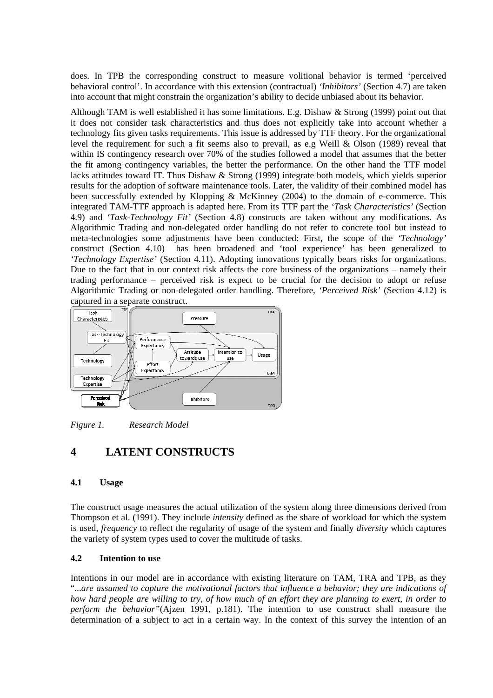does. In TPB the corresponding construct to measure volitional behavior is termed 'perceived behavioral control'. In accordance with this extension (contractual) *'Inhibitors'* (Section 4.7) are taken into account that might constrain the organization's ability to decide unbiased about its behavior.

Although TAM is well established it has some limitations. E.g. Dishaw & Strong (1999) point out that it does not consider task characteristics and thus does not explicitly take into account whether a technology fits given tasks requirements. This issue is addressed by TTF theory. For the organizational level the requirement for such a fit seems also to prevail, as e.g Weill & Olson (1989) reveal that within IS contingency research over 70% of the studies followed a model that assumes that the better the fit among contingency variables, the better the performance. On the other hand the TTF model lacks attitudes toward IT. Thus Dishaw & Strong (1999) integrate both models, which yields superior results for the adoption of software maintenance tools. Later, the validity of their combined model has been successfully extended by Klopping & McKinney (2004) to the domain of e-commerce. This integrated TAM-TTF approach is adapted here. From its TTF part the *'Task Characteristics'* (Section 4.9) and *'Task-Technology Fit'* (Section 4.8) constructs are taken without any modifications. As Algorithmic Trading and non-delegated order handling do not refer to concrete tool but instead to meta-technologies some adjustments have been conducted: First, the scope of the *'Technology'* construct (Section 4.10) has been broadened and 'tool experience' has been generalized to *'Technology Expertise'* (Section 4.11). Adopting innovations typically bears risks for organizations. Due to the fact that in our context risk affects the core business of the organizations – namely their trading performance – perceived risk is expect to be crucial for the decision to adopt or refuse Algorithmic Trading or non-delegated order handling. Therefore, *'Perceived Risk'* (Section 4.12) is captured in a separate construct.



*Figure 1. Research Model* 

# **4 LATENT CONSTRUCTS**

#### **4.1 Usage**

The construct usage measures the actual utilization of the system along three dimensions derived from Thompson et al. (1991). They include *intensity* defined as the share of workload for which the system is used, *frequency* to reflect the regularity of usage of the system and finally *diversity* which captures the variety of system types used to cover the multitude of tasks.

#### **4.2 Intention to use**

Intentions in our model are in accordance with existing literature on TAM, TRA and TPB, as they "...*are assumed to capture the motivational factors that influence a behavior; they are indications of how hard people are willing to try, of how much of an effort they are planning to exert, in order to perform the behavior"*(Ajzen 1991, p.181). The intention to use construct shall measure the determination of a subject to act in a certain way. In the context of this survey the intention of an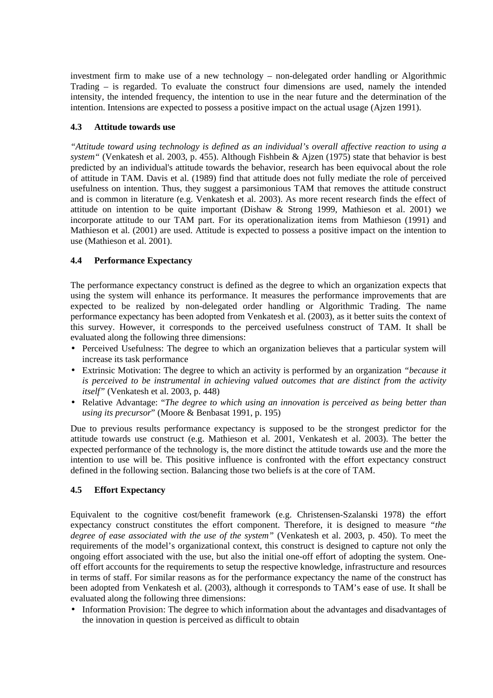investment firm to make use of a new technology – non-delegated order handling or Algorithmic Trading – is regarded. To evaluate the construct four dimensions are used, namely the intended intensity, the intended frequency, the intention to use in the near future and the determination of the intention. Intensions are expected to possess a positive impact on the actual usage (Ajzen 1991).

#### **4.3 Attitude towards use**

*"Attitude toward using technology is defined as an individual's overall affective reaction to using a system"* (Venkatesh et al. 2003, p. 455). Although Fishbein & Ajzen (1975) state that behavior is best predicted by an individual's attitude towards the behavior, research has been equivocal about the role of attitude in TAM. Davis et al. (1989) find that attitude does not fully mediate the role of perceived usefulness on intention. Thus, they suggest a parsimonious TAM that removes the attitude construct and is common in literature (e.g. Venkatesh et al. 2003). As more recent research finds the effect of attitude on intention to be quite important (Dishaw & Strong 1999, Mathieson et al. 2001) we incorporate attitude to our TAM part. For its operationalization items from Mathieson (1991) and Mathieson et al. (2001) are used. Attitude is expected to possess a positive impact on the intention to use (Mathieson et al. 2001).

#### **4.4 Performance Expectancy**

The performance expectancy construct is defined as the degree to which an organization expects that using the system will enhance its performance. It measures the performance improvements that are expected to be realized by non-delegated order handling or Algorithmic Trading. The name performance expectancy has been adopted from Venkatesh et al. (2003), as it better suits the context of this survey. However, it corresponds to the perceived usefulness construct of TAM. It shall be evaluated along the following three dimensions:

- Perceived Usefulness: The degree to which an organization believes that a particular system will increase its task performance
- Extrinsic Motivation: The degree to which an activity is performed by an organization *"because it is perceived to be instrumental in achieving valued outcomes that are distinct from the activity itself"* (Venkatesh et al. 2003, p. 448)
- Relative Advantage: "*The degree to which using an innovation is perceived as being better than using its precursor*" (Moore & Benbasat 1991, p. 195)

Due to previous results performance expectancy is supposed to be the strongest predictor for the attitude towards use construct (e.g. Mathieson et al. 2001, Venkatesh et al. 2003). The better the expected performance of the technology is, the more distinct the attitude towards use and the more the intention to use will be. This positive influence is confronted with the effort expectancy construct defined in the following section. Balancing those two beliefs is at the core of TAM.

#### **4.5 Effort Expectancy**

Equivalent to the cognitive cost/benefit framework (e.g. Christensen-Szalanski 1978) the effort expectancy construct constitutes the effort component. Therefore, it is designed to measure *"the degree of ease associated with the use of the system"* (Venkatesh et al. 2003, p. 450). To meet the requirements of the model's organizational context, this construct is designed to capture not only the ongoing effort associated with the use, but also the initial one-off effort of adopting the system. Oneoff effort accounts for the requirements to setup the respective knowledge, infrastructure and resources in terms of staff. For similar reasons as for the performance expectancy the name of the construct has been adopted from Venkatesh et al. (2003), although it corresponds to TAM's ease of use. It shall be evaluated along the following three dimensions:

• Information Provision: The degree to which information about the advantages and disadvantages of the innovation in question is perceived as difficult to obtain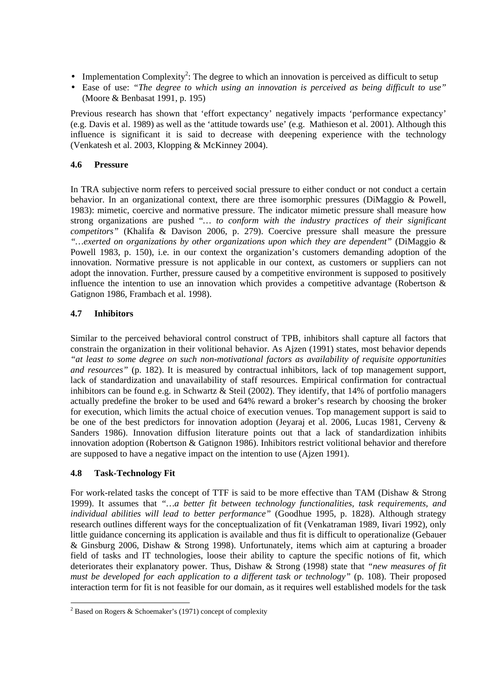- Implementation Complexity<sup>2</sup>: The degree to which an innovation is perceived as difficult to setup
- Ease of use: *"The degree to which using an innovation is perceived as being difficult to use"* (Moore & Benbasat 1991, p. 195)

Previous research has shown that 'effort expectancy' negatively impacts 'performance expectancy' (e.g. Davis et al. 1989) as well as the 'attitude towards use' (e.g. Mathieson et al. 2001). Although this influence is significant it is said to decrease with deepening experience with the technology (Venkatesh et al. 2003, Klopping & McKinney 2004).

#### **4.6 Pressure**

In TRA subjective norm refers to perceived social pressure to either conduct or not conduct a certain behavior. In an organizational context, there are three isomorphic pressures (DiMaggio & Powell, 1983): mimetic, coercive and normative pressure. The indicator mimetic pressure shall measure how strong organizations are pushed "*… to conform with the industry practices of their significant competitors"* (Khalifa & Davison 2006, p. 279). Coercive pressure shall measure the pressure *"…exerted on organizations by other organizations upon which they are dependent"* (DiMaggio & Powell 1983, p. 150), i.e. in our context the organization's customers demanding adoption of the innovation. Normative pressure is not applicable in our context, as customers or suppliers can not adopt the innovation. Further, pressure caused by a competitive environment is supposed to positively influence the intention to use an innovation which provides a competitive advantage (Robertson & Gatignon 1986, Frambach et al. 1998).

#### **4.7 Inhibitors**

Similar to the perceived behavioral control construct of TPB, inhibitors shall capture all factors that constrain the organization in their volitional behavior. As Ajzen (1991) states, most behavior depends *"at least to some degree on such non-motivational factors as availability of requisite opportunities and resources"* (p. 182). It is measured by contractual inhibitors, lack of top management support, lack of standardization and unavailability of staff resources. Empirical confirmation for contractual inhibitors can be found e.g. in Schwartz & Steil (2002). They identify, that 14% of portfolio managers actually predefine the broker to be used and 64% reward a broker's research by choosing the broker for execution, which limits the actual choice of execution venues. Top management support is said to be one of the best predictors for innovation adoption (Jeyaraj et al. 2006, Lucas 1981, Cerveny & Sanders 1986). Innovation diffusion literature points out that a lack of standardization inhibits innovation adoption (Robertson & Gatignon 1986). Inhibitors restrict volitional behavior and therefore are supposed to have a negative impact on the intention to use (Ajzen 1991).

#### **4.8 Task-Technology Fit**

For work-related tasks the concept of TTF is said to be more effective than TAM (Dishaw & Strong 1999). It assumes that *"…a better fit between technology functionalities, task requirements, and individual abilities will lead to better performance"* (Goodhue 1995, p. 1828). Although strategy research outlines different ways for the conceptualization of fit (Venkatraman 1989, Iivari 1992), only little guidance concerning its application is available and thus fit is difficult to operationalize (Gebauer & Ginsburg 2006, Dishaw & Strong 1998). Unfortunately, items which aim at capturing a broader field of tasks and IT technologies, loose their ability to capture the specific notions of fit, which deteriorates their explanatory power. Thus, Dishaw & Strong (1998) state that *"new measures of fit must be developed for each application to a different task or technology"* (p. 108). Their proposed interaction term for fit is not feasible for our domain, as it requires well established models for the task

 $\overline{a}$ <sup>2</sup> Based on Rogers & Schoemaker's (1971) concept of complexity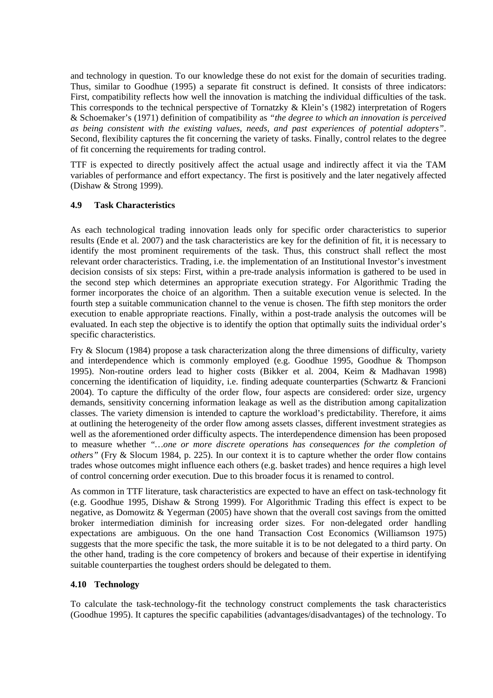and technology in question. To our knowledge these do not exist for the domain of securities trading. Thus, similar to Goodhue (1995) a separate fit construct is defined. It consists of three indicators: First, compatibility reflects how well the innovation is matching the individual difficulties of the task. This corresponds to the technical perspective of Tornatzky & Klein's (1982) interpretation of Rogers & Schoemaker's (1971) definition of compatibility as *"the degree to which an innovation is perceived as being consistent with the existing values, needs, and past experiences of potential adopters"*. Second, flexibility captures the fit concerning the variety of tasks. Finally, control relates to the degree of fit concerning the requirements for trading control.

TTF is expected to directly positively affect the actual usage and indirectly affect it via the TAM variables of performance and effort expectancy. The first is positively and the later negatively affected (Dishaw & Strong 1999).

#### **4.9 Task Characteristics**

As each technological trading innovation leads only for specific order characteristics to superior results (Ende et al. 2007) and the task characteristics are key for the definition of fit, it is necessary to identify the most prominent requirements of the task. Thus, this construct shall reflect the most relevant order characteristics. Trading, i.e. the implementation of an Institutional Investor's investment decision consists of six steps: First, within a pre-trade analysis information is gathered to be used in the second step which determines an appropriate execution strategy. For Algorithmic Trading the former incorporates the choice of an algorithm. Then a suitable execution venue is selected. In the fourth step a suitable communication channel to the venue is chosen. The fifth step monitors the order execution to enable appropriate reactions. Finally, within a post-trade analysis the outcomes will be evaluated. In each step the objective is to identify the option that optimally suits the individual order's specific characteristics.

Fry & Slocum (1984) propose a task characterization along the three dimensions of difficulty, variety and interdependence which is commonly employed (e.g. Goodhue 1995, Goodhue & Thompson 1995). Non-routine orders lead to higher costs (Bikker et al. 2004, Keim & Madhavan 1998) concerning the identification of liquidity, i.e. finding adequate counterparties (Schwartz & Francioni 2004). To capture the difficulty of the order flow, four aspects are considered: order size, urgency demands, sensitivity concerning information leakage as well as the distribution among capitalization classes. The variety dimension is intended to capture the workload's predictability. Therefore, it aims at outlining the heterogeneity of the order flow among assets classes, different investment strategies as well as the aforementioned order difficulty aspects. The interdependence dimension has been proposed to measure whether *"…one or more discrete operations has consequences for the completion of others"* (Fry & Slocum 1984, p. 225). In our context it is to capture whether the order flow contains trades whose outcomes might influence each others (e.g. basket trades) and hence requires a high level of control concerning order execution. Due to this broader focus it is renamed to control.

As common in TTF literature, task characteristics are expected to have an effect on task-technology fit (e.g. Goodhue 1995, Dishaw & Strong 1999). For Algorithmic Trading this effect is expect to be negative, as Domowitz & Yegerman (2005) have shown that the overall cost savings from the omitted broker intermediation diminish for increasing order sizes. For non-delegated order handling expectations are ambiguous. On the one hand Transaction Cost Economics (Williamson 1975) suggests that the more specific the task, the more suitable it is to be not delegated to a third party. On the other hand, trading is the core competency of brokers and because of their expertise in identifying suitable counterparties the toughest orders should be delegated to them.

#### **4.10 Technology**

To calculate the task-technology-fit the technology construct complements the task characteristics (Goodhue 1995). It captures the specific capabilities (advantages/disadvantages) of the technology. To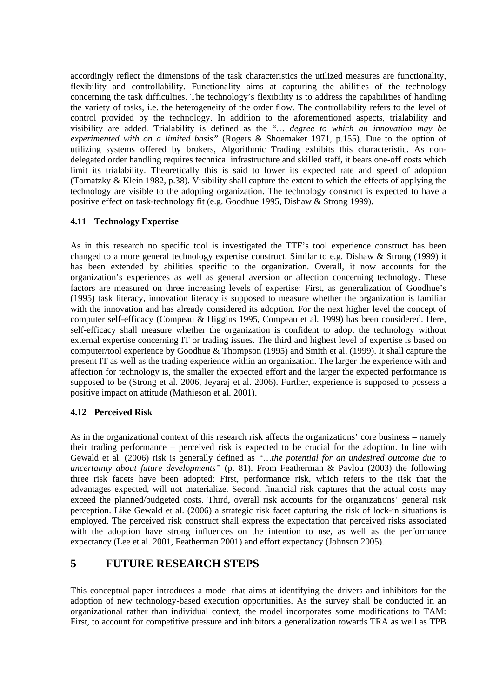accordingly reflect the dimensions of the task characteristics the utilized measures are functionality, flexibility and controllability. Functionality aims at capturing the abilities of the technology concerning the task difficulties. The technology's flexibility is to address the capabilities of handling the variety of tasks, i.e. the heterogeneity of the order flow. The controllability refers to the level of control provided by the technology. In addition to the aforementioned aspects, trialability and visibility are added. Trialability is defined as the "*… degree to which an innovation may be experimented with on a limited basis"* (Rogers & Shoemaker 1971, p.155). Due to the option of utilizing systems offered by brokers, Algorithmic Trading exhibits this characteristic. As nondelegated order handling requires technical infrastructure and skilled staff, it bears one-off costs which limit its trialability. Theoretically this is said to lower its expected rate and speed of adoption (Tornatzky & Klein 1982, p.38). Visibility shall capture the extent to which the effects of applying the technology are visible to the adopting organization. The technology construct is expected to have a positive effect on task-technology fit (e.g. Goodhue 1995, Dishaw & Strong 1999).

#### **4.11 Technology Expertise**

As in this research no specific tool is investigated the TTF's tool experience construct has been changed to a more general technology expertise construct. Similar to e.g. Dishaw & Strong (1999) it has been extended by abilities specific to the organization. Overall, it now accounts for the organization's experiences as well as general aversion or affection concerning technology. These factors are measured on three increasing levels of expertise: First, as generalization of Goodhue's (1995) task literacy, innovation literacy is supposed to measure whether the organization is familiar with the innovation and has already considered its adoption. For the next higher level the concept of computer self-efficacy (Compeau & Higgins 1995, Compeau et al. 1999) has been considered. Here, self-efficacy shall measure whether the organization is confident to adopt the technology without external expertise concerning IT or trading issues. The third and highest level of expertise is based on computer/tool experience by Goodhue & Thompson (1995) and Smith et al. (1999). It shall capture the present IT as well as the trading experience within an organization. The larger the experience with and affection for technology is, the smaller the expected effort and the larger the expected performance is supposed to be (Strong et al. 2006, Jeyaraj et al. 2006). Further, experience is supposed to possess a positive impact on attitude (Mathieson et al. 2001).

#### **4.12 Perceived Risk**

As in the organizational context of this research risk affects the organizations' core business – namely their trading performance – perceived risk is expected to be crucial for the adoption. In line with Gewald et al. (2006) risk is generally defined as *"…the potential for an undesired outcome due to uncertainty about future developments"* (p. 81). From Featherman & Pavlou (2003) the following three risk facets have been adopted: First, performance risk, which refers to the risk that the advantages expected, will not materialize. Second, financial risk captures that the actual costs may exceed the planned/budgeted costs. Third, overall risk accounts for the organizations' general risk perception. Like Gewald et al. (2006) a strategic risk facet capturing the risk of lock-in situations is employed. The perceived risk construct shall express the expectation that perceived risks associated with the adoption have strong influences on the intention to use, as well as the performance expectancy (Lee et al. 2001, Featherman 2001) and effort expectancy (Johnson 2005).

# **5 FUTURE RESEARCH STEPS**

This conceptual paper introduces a model that aims at identifying the drivers and inhibitors for the adoption of new technology-based execution opportunities. As the survey shall be conducted in an organizational rather than individual context, the model incorporates some modifications to TAM: First, to account for competitive pressure and inhibitors a generalization towards TRA as well as TPB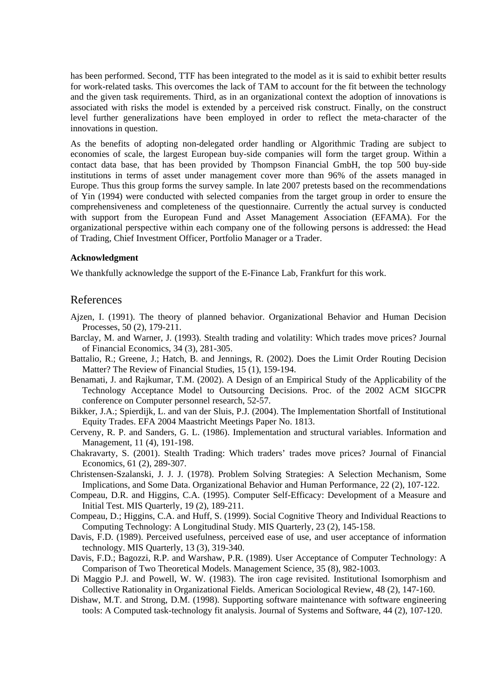has been performed. Second, TTF has been integrated to the model as it is said to exhibit better results for work-related tasks. This overcomes the lack of TAM to account for the fit between the technology and the given task requirements. Third, as in an organizational context the adoption of innovations is associated with risks the model is extended by a perceived risk construct. Finally, on the construct level further generalizations have been employed in order to reflect the meta-character of the innovations in question.

As the benefits of adopting non-delegated order handling or Algorithmic Trading are subject to economies of scale, the largest European buy-side companies will form the target group. Within a contact data base, that has been provided by Thompson Financial GmbH, the top 500 buy-side institutions in terms of asset under management cover more than 96% of the assets managed in Europe. Thus this group forms the survey sample. In late 2007 pretests based on the recommendations of Yin (1994) were conducted with selected companies from the target group in order to ensure the comprehensiveness and completeness of the questionnaire. Currently the actual survey is conducted with support from the European Fund and Asset Management Association (EFAMA). For the organizational perspective within each company one of the following persons is addressed: the Head of Trading, Chief Investment Officer, Portfolio Manager or a Trader.

#### **Acknowledgment**

We thankfully acknowledge the support of the E-Finance Lab, Frankfurt for this work.

#### References

- Ajzen, I. (1991). The theory of planned behavior. Organizational Behavior and Human Decision Processes, 50 (2), 179-211.
- Barclay, M. and Warner, J. (1993). Stealth trading and volatility: Which trades move prices? Journal of Financial Economics, 34 (3), 281-305.
- Battalio, R.; Greene, J.; Hatch, B. and Jennings, R. (2002). Does the Limit Order Routing Decision Matter? The Review of Financial Studies, 15 (1), 159-194.
- Benamati, J. and Rajkumar, T.M. (2002). A Design of an Empirical Study of the Applicability of the Technology Acceptance Model to Outsourcing Decisions. Proc. of the 2002 ACM SIGCPR conference on Computer personnel research, 52-57.
- Bikker, J.A.; Spierdijk, L. and van der Sluis, P.J. (2004). The Implementation Shortfall of Institutional Equity Trades. EFA 2004 Maastricht Meetings Paper No. 1813.
- Cerveny, R. P. and Sanders, G. L. (1986). Implementation and structural variables. Information and Management, 11 (4), 191-198.
- Chakravarty, S. (2001). Stealth Trading: Which traders' trades move prices? Journal of Financial Economics, 61 (2), 289-307.
- Christensen-Szalanski, J. J. J. (1978). Problem Solving Strategies: A Selection Mechanism, Some Implications, and Some Data. Organizational Behavior and Human Performance, 22 (2), 107-122.
- Compeau, D.R. and Higgins, C.A. (1995). Computer Self-Efficacy: Development of a Measure and Initial Test. MIS Quarterly, 19 (2), 189-211.
- Compeau, D.; Higgins, C.A. and Huff, S. (1999). Social Cognitive Theory and Individual Reactions to Computing Technology: A Longitudinal Study. MIS Quarterly, 23 (2), 145-158.
- Davis, F.D. (1989). Perceived usefulness, perceived ease of use, and user acceptance of information technology. MIS Quarterly, 13 (3), 319-340.
- Davis, F.D.; Bagozzi, R.P. and Warshaw, P.R. (1989). User Acceptance of Computer Technology: A Comparison of Two Theoretical Models. Management Science, 35 (8), 982-1003.
- Di Maggio P.J. and Powell, W. W. (1983). The iron cage revisited. Institutional Isomorphism and Collective Rationality in Organizational Fields. American Sociological Review, 48 (2), 147-160.
- Dishaw, M.T. and Strong, D.M. (1998). Supporting software maintenance with software engineering tools: A Computed task-technology fit analysis. Journal of Systems and Software, 44 (2), 107-120.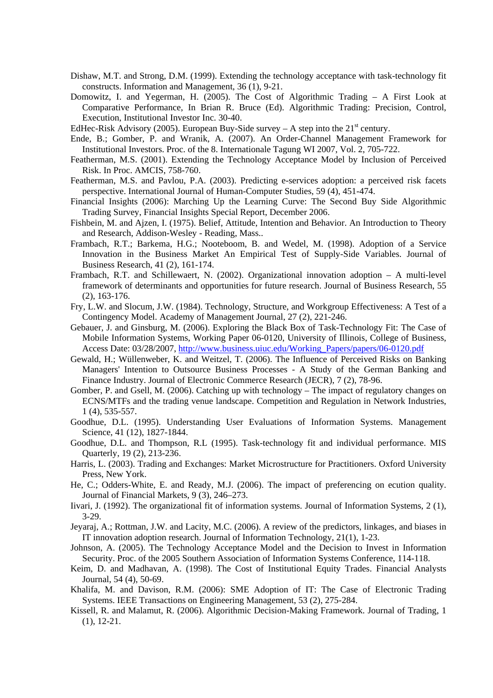- Dishaw, M.T. and Strong, D.M. (1999). Extending the technology acceptance with task-technology fit constructs. Information and Management, 36 (1), 9-21.
- Domowitz, I. and Yegerman, H. (2005). The Cost of Algorithmic Trading A First Look at Comparative Performance, In Brian R. Bruce (Ed). Algorithmic Trading: Precision, Control, Execution, Institutional Investor Inc. 30-40.

EdHec-Risk Advisory (2005). European Buy-Side survey – A step into the  $21<sup>st</sup>$  century.

- Ende, B.; Gomber, P. and Wranik, A. (2007). An Order-Channel Management Framework for Institutional Investors. Proc. of the 8. Internationale Tagung WI 2007, Vol. 2, 705-722.
- Featherman, M.S. (2001). Extending the Technology Acceptance Model by Inclusion of Perceived Risk. In Proc. AMCIS, 758-760.
- Featherman, M.S. and Pavlou, P.A. (2003). Predicting e-services adoption: a perceived risk facets perspective. International Journal of Human-Computer Studies, 59 (4), 451-474.
- Financial Insights (2006): Marching Up the Learning Curve: The Second Buy Side Algorithmic Trading Survey, Financial Insights Special Report, December 2006.
- Fishbein, M. and Ajzen, I. (1975). Belief, Attitude, Intention and Behavior. An Introduction to Theory and Research, Addison-Wesley - Reading, Mass..
- Frambach, R.T.; Barkema, H.G.; Nooteboom, B. and Wedel, M. (1998). Adoption of a Service Innovation in the Business Market An Empirical Test of Supply-Side Variables. Journal of Business Research, 41 (2), 161-174.
- Frambach, R.T. and Schillewaert, N. (2002). Organizational innovation adoption A multi-level framework of determinants and opportunities for future research. Journal of Business Research, 55 (2), 163-176.
- Fry, L.W. and Slocum, J.W. (1984). Technology, Structure, and Workgroup Effectiveness: A Test of a Contingency Model. Academy of Management Journal, 27 (2), 221-246.
- Gebauer, J. and Ginsburg, M. (2006). Exploring the Black Box of Task-Technology Fit: The Case of Mobile Information Systems, Working Paper 06-0120, University of Illinois, College of Business, Access Date: 03/28/2007, http://www.business.uiuc.edu/Working\_Papers/papers/06-0120.pdf
- Gewald, H.; Wüllenweber, K. and Weitzel, T. (2006). The Influence of Perceived Risks on Banking Managers' Intention to Outsource Business Processes - A Study of the German Banking and Finance Industry. Journal of Electronic Commerce Research (JECR), 7 (2), 78-96.
- Gomber, P. and Gsell, M. (2006). Catching up with technology The impact of regulatory changes on ECNS/MTFs and the trading venue landscape. Competition and Regulation in Network Industries, 1 (4), 535-557.
- Goodhue, D.L. (1995). Understanding User Evaluations of Information Systems. Management Science, 41 (12), 1827-1844.
- Goodhue, D.L. and Thompson, R.L (1995). Task-technology fit and individual performance. MIS Quarterly, 19 (2), 213-236.
- Harris, L. (2003). Trading and Exchanges: Market Microstructure for Practitioners. Oxford University Press, New York.
- He, C.; Odders-White, E. and Ready, M.J. (2006). The impact of preferencing on ecution quality. Journal of Financial Markets, 9 (3), 246–273.
- Iivari, J. (1992). The organizational fit of information systems. Journal of Information Systems, 2 (1), 3-29.
- Jeyaraj, A.; Rottman, J.W. and Lacity, M.C. (2006). A review of the predictors, linkages, and biases in IT innovation adoption research. Journal of Information Technology, 21(1), 1-23.
- Johnson, A. (2005). The Technology Acceptance Model and the Decision to Invest in Information Security. Proc. of the 2005 Southern Association of Information Systems Conference, 114-118.
- Keim, D. and Madhavan, A. (1998). The Cost of Institutional Equity Trades. Financial Analysts Journal, 54 (4), 50-69.
- Khalifa, M. and Davison, R.M. (2006): SME Adoption of IT: The Case of Electronic Trading Systems. IEEE Transactions on Engineering Management, 53 (2), 275-284.
- Kissell, R. and Malamut, R. (2006). Algorithmic Decision-Making Framework. Journal of Trading, 1 (1), 12-21.